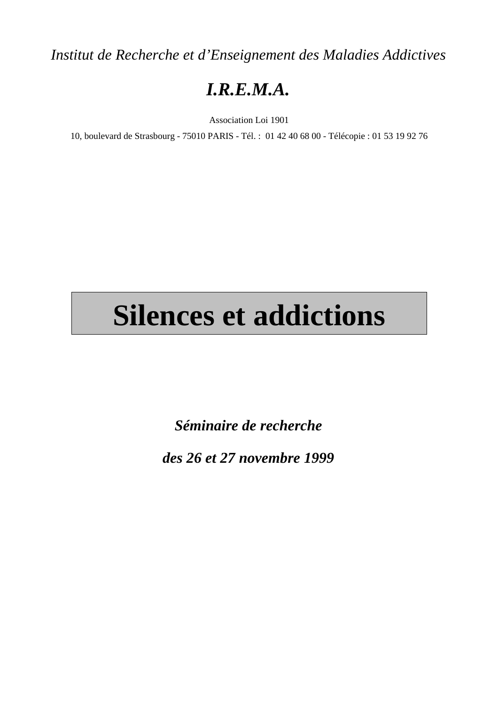*Institut de Recherche et d'Enseignement des Maladies Addictives*

## *I.R.E.M.A.*

Association Loi 1901

10, boulevard de Strasbourg - 75010 PARIS - Tél. : 01 42 40 68 00 - Télécopie : 01 53 19 92 76

# **Silences et addictions**

*Séminaire de recherche*

*des 26 et 27 novembre 1999*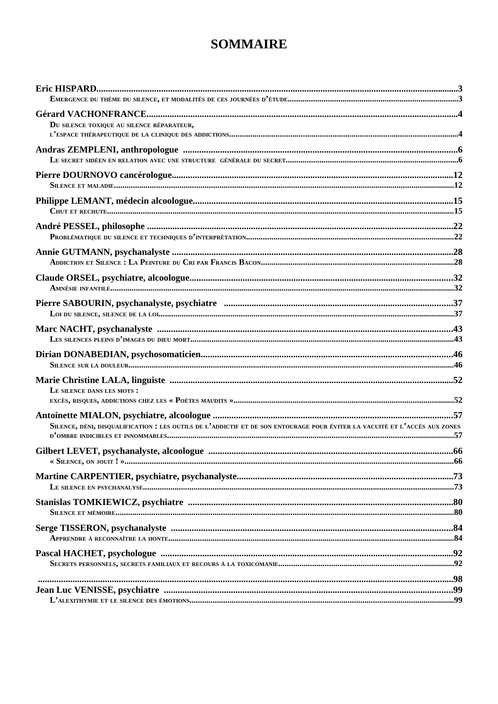### **SOMMAIRE**

| DU SILENCE TOXIQUE AU SILENCE RÉPARATEUR,                                                                                 |  |
|---------------------------------------------------------------------------------------------------------------------------|--|
|                                                                                                                           |  |
|                                                                                                                           |  |
|                                                                                                                           |  |
|                                                                                                                           |  |
|                                                                                                                           |  |
|                                                                                                                           |  |
|                                                                                                                           |  |
|                                                                                                                           |  |
|                                                                                                                           |  |
|                                                                                                                           |  |
|                                                                                                                           |  |
|                                                                                                                           |  |
|                                                                                                                           |  |
|                                                                                                                           |  |
|                                                                                                                           |  |
|                                                                                                                           |  |
|                                                                                                                           |  |
|                                                                                                                           |  |
| LE SILENCE DANS LES MOTS :                                                                                                |  |
| EXCÈS, RISQUES, ADDICTIONS CHEZ LES « POÈTES MAUDITS »……………………………………………………………………………………………52                               |  |
|                                                                                                                           |  |
| SILENCE, DÉNI, DISQUALIFICATION : LES OUTLS DE L'ADDICTIF ET DE SON ENTOURAGE POUR ÉVITER LA VACUITÉ ET L'ACCÈS AUX ZONES |  |
|                                                                                                                           |  |
|                                                                                                                           |  |
|                                                                                                                           |  |
|                                                                                                                           |  |
|                                                                                                                           |  |
|                                                                                                                           |  |
|                                                                                                                           |  |
|                                                                                                                           |  |
|                                                                                                                           |  |
|                                                                                                                           |  |
|                                                                                                                           |  |
|                                                                                                                           |  |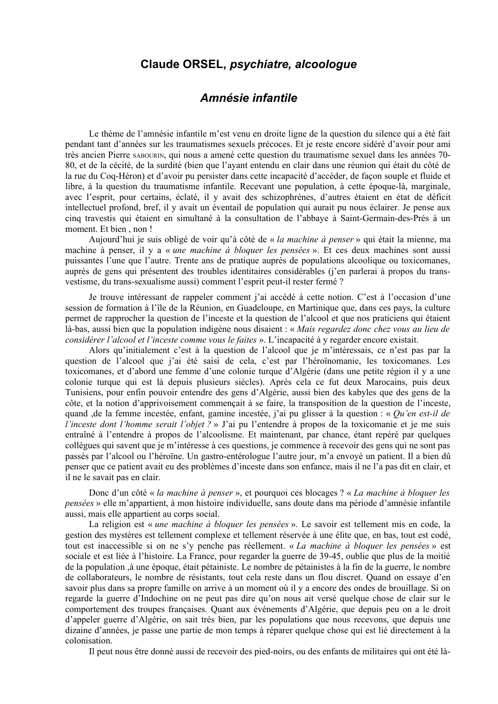#### Claude ORSEL, psychiatre, alcoologue

#### Amnésie infantile

Le thème de l'amnésie infantile m'est venu en droite ligne de la question du silence qui a été fait pendant tant d'années sur les traumatismes sexuels précoces. Et je reste encore sidéré d'avoir pour ami très ancien Pierre SABOURIN, qui nous a amené cette question du traumatisme sexuel dans les années 70-80, et de la cécité, de la surdité (bien que l'ayant entendu en clair dans une réunion qui était du côté de la rue du Coq-Héron) et d'avoir pu persister dans cette incapacité d'accéder, de façon souple et fluide et libre, à la question du traumatisme infantile. Recevant une population, à cette époque-là, marginale, avec l'esprit, pour certains, éclaté, il y avait des schizophrènes, d'autres étaient en état de déficit intellectuel profond, bref, il y avait un éventail de population qui aurait pu nous éclairer. Je pense aux cinq travestis qui étaient en simultané à la consultation de l'abbaye à Saint-Germain-des-Prés à un moment. Et bien, non!

Aujourd'hui je suis obligé de voir qu'à côté de « la machine à penser » qui était la mienne, ma machine à penser, il y a « une machine à bloquer les pensées ». Et ces deux machines sont aussi puissantes l'une que l'autre. Trente ans de pratique auprès de populations alcoolique ou toxicomanes, auprès de gens qui présentent des troubles identitaires considérables (j'en parlerai à propos du transvestisme, du trans-sexualisme aussi) comment l'esprit peut-il rester fermé ?

Je trouve intéressant de rappeler comment j'ai accédé à cette notion. C'est à l'occasion d'une session de formation à l'île de la Réunion, en Guadeloupe, en Martinique que, dans ces pays, la culture permet de rapprocher la question de l'inceste et la question de l'alcool et que nos praticiens qui étaient là-bas, aussi bien que la population indigène nous disaient : « Mais regardez donc chez vous au lieu de considérer l'alcool et l'inceste comme vous le faites ». L'incapacité à y regarder encore existait.

Alors qu'initialement c'est à la question de l'alcool que je m'intéressais, ce n'est pas par la question de l'alcool que j'ai été saisi de cela, c'est par l'héroïnomanie, les toxicomanes. Les toxicomanes, et d'abord une femme d'une colonie turque d'Algérie (dans une petite région il y a une colonie turque qui est là depuis plusieurs siècles). Après cela ce fut deux Marocains, puis deux Tunisiens, pour enfin pouvoir entendre des gens d'Algérie, aussi bien des kabyles que des gens de la côte, et la notion d'apprivoisement commençait à se faire, la transposition de la question de l'inceste, quand , de la femme incestée, enfant, gamine incestée, j'ai pu glisser à la question : « Qu'en est-il de l'inceste dont l'homme serait l'objet ? » J'ai pu l'entendre à propos de la toxicomanie et je me suis entraîné à l'entendre à propos de l'alcoolisme. Et maintenant, par chance, étant repéré par quelques collègues qui savent que je m'intéresse à ces questions, je commence à recevoir des gens qui ne sont pas passés par l'alcool ou l'héroïne. Un gastro-entérologue l'autre jour, m'a envoyé un patient. Il a bien dû penser que ce patient avait eu des problèmes d'inceste dans son enfance, mais il ne l'a pas dit en clair, et il ne le savait pas en clair.

Donc d'un côté « la machine à penser », et pourquoi ces blocages ? « La machine à bloquer les pensées » elle m'appartient, à mon histoire individuelle, sans doute dans ma période d'amnésie infantile aussi, mais elle appartient au corps social.

La religion est « une machine à bloquer les pensées ». Le savoir est tellement mis en code, la gestion des mystères est tellement complexe et tellement réservée à une élite que, en bas, tout est codé, tout est inaccessible si on ne s'y penche pas réellement. « La machine à bloquer les pensées » est sociale et est liée à l'histoire. La France, pour regarder la guerre de 39-45, oublie que plus de la moitié de la population à une époque, était pétainiste. Le nombre de pétainistes à la fin de la guerre, le nombre de collaborateurs, le nombre de résistants, tout cela reste dans un flou discret. Quand on essaye d'en savoir plus dans sa propre famille on arrive à un moment où il y a encore des ondes de brouillage. Si on regarde la guerre d'Indochine on ne peut pas dire qu'on nous ait versé quelque chose de clair sur le comportement des troupes françaises. Quant aux événements d'Algérie, que depuis peu on a le droit d'appeler guerre d'Algérie, on sait très bien, par les populations que nous recevons, que depuis une dizaine d'années, je passe une partie de mon temps à réparer quelque chose qui est lié directement à la colonisation.

Il peut nous être donné aussi de recevoir des pied-noirs, ou des enfants de militaires qui ont été là-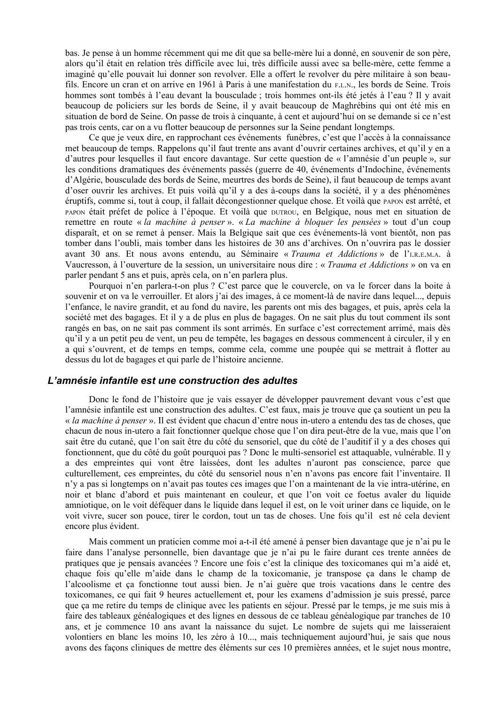bas. Je pense à un homme récemment qui me dit que sa belle-mère lui a donné, en souvenir de son père. alors qu'il était en relation très difficile avec lui, très difficile aussi avec sa belle-mère, cette femme a imaginé qu'elle pouvait lui donner son revolver. Elle a offert le revolver du père militaire à son beaufils. Encore un cran et on arrive en 1961 à Paris à une manifestation du F.L.N., les bords de Seine. Trois hommes sont tombés à l'eau devant la bousculade ; trois hommes ont-ils été jetés à l'eau ? Il y avait beaucoup de policiers sur les bords de Seine, il y avait beaucoup de Maghrébins qui ont été mis en situation de bord de Seine. On passe de trois à cinquante, à cent et aujourd'hui on se demande si ce n'est pas trois cents, car on a vu flotter beaucoup de personnes sur la Seine pendant longtemps.

Ce que je veux dire, en rapprochant ces événements funèbres, c'est que l'accès à la connaissance met beaucoup de temps. Rappelons qu'il faut trente ans avant d'ouvrir certaines archives, et qu'il y en a d'autres pour lesquelles il faut encore davantage. Sur cette question de « l'amnésie d'un peuple », sur les conditions dramatiques des événements passés (guerre de 40, événements d'Indochine, événements d'Algérie, bousculade des bords de Seine, meurtres des bords de Seine), il faut beaucoup de temps avant d'oser ouvrir les archives. Et puis voilà qu'il y a des à-coups dans la société, il y a des phénomènes éruptifs, comme si, tout à coup, il fallait décongestionner quelque chose. Et voilà que papon est arrêté, et PAPON était préfet de police à l'époque. Et voilà que DUTROU, en Belgique, nous met en situation de remettre en route « la machine à penser ». « La machine à bloquer les pensées » tout d'un coup disparaît, et on se remet à penser. Mais la Belgique sait que ces événements-là vont bientôt, non pas tomber dans l'oubli, mais tomber dans les histoires de 30 ans d'archives. On n'ouvrira pas le dossier avant 30 ans. Et nous avons entendu, au Séminaire « Trauma et Addictions » de l'I.R.E.M.A. à Vaucresson, à l'ouverture de la session, un universitaire nous dire : « Trauma et Addictions » on va en parler pendant 5 ans et puis, après cela, on n'en parlera plus.

Pourquoi n'en parlera-t-on plus ? C'est parce que le couvercle, on va le forcer dans la boite à souvenir et on va le verrouiller. Et alors j'ai des images, à ce moment-là de navire dans lequel..., depuis l'enfance, le navire grandit, et au fond du navire, les parents ont mis des bagages, et puis, après cela la société met des bagages. Et il y a de plus en plus de bagages. On ne sait plus du tout comment ils sont rangés en bas, on ne sait pas comment ils sont arrimés. En surface c'est correctement arrimé, mais dès qu'il y a un petit peu de vent, un peu de tempête, les bagages en dessous commencent à circuler, il y en a qui s'ouvrent, et de temps en temps, comme cela, comme une poupée qui se mettrait à flotter au dessus du lot de bagages et qui parle de l'histoire ancienne.

#### L'amnésie infantile est une construction des adultes

Donc le fond de l'histoire que je vais essayer de développer pauvrement devant vous c'est que l'amnésie infantile est une construction des adultes. C'est faux, mais je trouve que ça soutient un peu la « la machine à penser ». Il est évident que chacun d'entre nous in-utero a entendu des tas de choses, que chacun de nous in-utero a fait fonctionner quelque chose que l'on dira peut-être de la vue, mais que l'on sait être du cutané, que l'on sait être du côté du sensoriel, que du côté de l'auditif il y a des choses qui fonctionnent, que du côté du goût pourquoi pas ? Donc le multi-sensoriel est attaquable, vulnérable. Il y a des empreintes qui vont être laissées, dont les adultes n'auront pas conscience, parce que culturellement, ces empreintes, du côté du sensoriel nous n'en n'avons pas encore fait l'inventaire. Il n'y a pas si longtemps on n'avait pas toutes ces images que l'on a maintenant de la vie intra-utérine, en noir et blanc d'abord et puis maintenant en couleur, et que l'on voit ce foetus avaler du liquide amniotique, on le voit déféquer dans le liquide dans lequel il est, on le voit uriner dans ce liquide, on le voit vivre, sucer son pouce, tirer le cordon, tout un tas de choses. Une fois qu'il est né cela devient encore plus évident.

Mais comment un praticien comme moi a-t-il été amené à penser bien davantage que je n'ai pu le faire dans l'analyse personnelle, bien davantage que je n'ai pu le faire durant ces trente années de pratiques que je pensais avancées ? Encore une fois c'est la clinique des toxicomanes qui m'a aidé et, chaque fois qu'elle m'aide dans le champ de la toxicomanie, je transpose ca dans le champ de l'alcoolisme et ca fonctionne tout aussi bien. Je n'ai guère que trois vacations dans le centre des toxicomanes, ce qui fait 9 heures actuellement et, pour les examens d'admission je suis pressé, parce que ça me retire du temps de clinique avec les patients en séjour. Pressé par le temps, je me suis mis à faire des tableaux généalogiques et des lignes en dessous de ce tableau généalogique par tranches de 10 ans, et je commence 10 ans avant la naissance du sujet. Le nombre de sujets qui me laisseraient volontiers en blanc les moins 10, les zéro à 10..., mais techniquement aujourd'hui, je sais que nous avons des façons cliniques de mettre des éléments sur ces 10 premières années, et le sujet nous montre,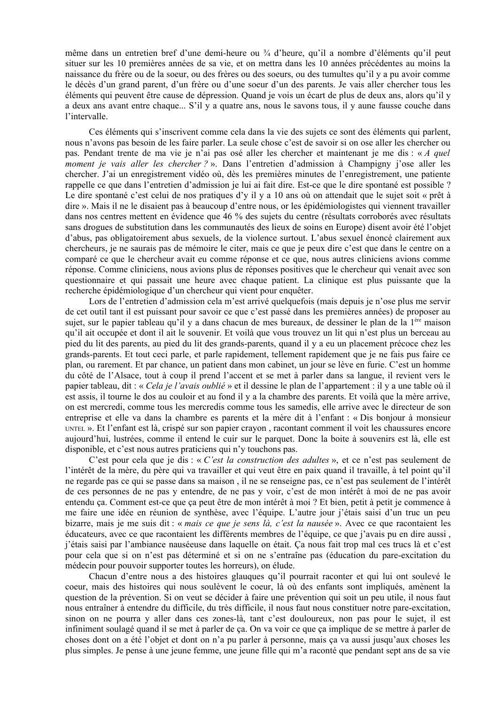même dans un entretien bref d'une demi-heure ou ¼ d'heure, qu'il a nombre d'éléments qu'il peut situer sur les 10 premières années de sa vie, et on mettra dans les 10 années précédentes au moins la naissance du frère ou de la soeur, ou des frères ou des soeurs, ou des tumultes qu'il y a pu avoir comme le décès d'un grand parent, d'un frère ou d'une soeur d'un des parents. Je vais aller chercher tous les éléments qui peuvent être cause de dépression. Quand je vois un écart de plus de deux ans, alors qu'il y a deux ans avant entre chaque... S'il y a quatre ans, nous le savons tous, il y aune fausse couche dans l'intervalle.

Ces éléments qui s'inscrivent comme cela dans la vie des sujets ce sont des éléments qui parlent, nous n'avons pas besoin de les faire parler. La seule chose c'est de savoir si on ose aller les chercher ou pas. Pendant trente de ma vie je n'ai pas osé aller les chercher et maintenant je me dis : « A quel moment je vais aller les chercher?». Dans l'entretien d'admission à Champigny j'ose aller les chercher. J'ai un enregistrement vidéo où, dès les premières minutes de l'enregistrement, une patiente rappelle ce que dans l'entretien d'admission je lui ai fait dire. Est-ce que le dire spontané est possible ? Le dire spontané c'est celui de nos pratiques d'y il y a 10 ans où on attendait que le sujet soit « prêt à dire ». Mais il ne le disaient pas à beaucoup d'entre nous, or les épidémiologistes qui viennent travailler dans nos centres mettent en évidence que 46 % des sujets du centre (résultats corroborés avec résultats sans drogues de substitution dans les communautés des lieux de soins en Europe) disent avoir été l'objet d'abus, pas obligatoirement abus sexuels, de la violence surtout. L'abus sexuel énoncé clairement aux chercheurs, je ne saurais pas de mémoire le citer, mais ce que je peux dire c'est que dans le centre on a comparé ce que le chercheur avait eu comme réponse et ce que, nous autres cliniciens avions comme réponse. Comme cliniciens, nous avions plus de réponses positives que le chercheur qui venait avec son questionnaire et qui passait une heure avec chaque patient. La clinique est plus puissante que la recherche épidémiologique d'un chercheur qui vient pour enquêter.

Lors de l'entretien d'admission cela m'est arrivé quelque fois (mais depuis je n'ose plus me servir de cet outil tant il est puissant pour savoir ce que c'est passé dans les premières années) de proposer au sujet, sur le papier tableau qu'il y a dans chacun de mes bureaux, de dessiner le plan de la 1<sup>ère</sup> maison qu'il ait occupée et dont il ait le souvenir. Et voilà que vous trouvez un lit qui n'est plus un berceau au pied du lit des parents, au pied du lit des grands-parents, quand il y a eu un placement précoce chez les grands-parents. Et tout ceci parle, et parle rapidement, tellement rapidement que je ne fais pus faire ce plan, ou rarement. Et par chance, un patient dans mon cabinet, un jour se lève en furie. C'est un homme du côté de l'Alsace, tout à coup il prend l'accent et se met à parler dans sa langue, il revient vers le papier tableau, dit : « Cela je l'avais oublié » et il dessine le plan de l'appartement : il y a une table où il est assis, il tourne le dos au couloir et au fond il y a la chambre des parents. Et voilà que la mère arrive, on est mercredi, comme tous les mercredis comme tous les samedis, elle arrive avec le directeur de son entreprise et elle va dans la chambre es parents et la mère dit à l'enfant : « Dis bonjour à monsieur UNTEL ». Et l'enfant est là, crispé sur son papier crayon, racontant comment il voit les chaussures encore aujourd'hui, lustrées, comme il entend le cuir sur le parquet. Donc la boite à souvenirs est là, elle est disponible, et c'est nous autres praticiens qui n'y touchons pas.

C'est pour cela que je dis : « C'est la construction des adultes », et ce n'est pas seulement de l'intérêt de la mère, du père qui va travailler et qui veut être en paix quand il travaille, à tel point qu'il ne regarde pas ce qui se passe dans sa maison, il ne se renseigne pas, ce n'est pas seulement de l'intérêt de ces personnes de ne pas y entendre, de ne pas y voir, c'est de mon intérêt à moi de ne pas avoir entendu ca. Comment est-ce que ca peut être de mon intérêt à moi ? Et bien, petit à petit je commence à me faire une idée en réunion de synthèse, avec l'équipe. L'autre jour j'étais saisi d'un truc un peu bizarre, mais je me suis dit : « mais ce que je sens là, c'est la nausée ». Avec ce que racontaient les éducateurs, avec ce que racontaient les différents membres de l'équipe, ce que j'avais pu en dire aussi, j'étais saisi par l'ambiance nauséeuse dans laquelle on était. Ca nous fait trop mal ces trucs là et c'est pour cela que si on n'est pas déterminé et si on ne s'entraîne pas (éducation du pare-excitation du médecin pour pouvoir supporter toutes les horreurs), on élude.

Chacun d'entre nous a des histoires glauques qu'il pourrait raconter et qui lui ont soulevé le coeur, mais des histoires qui nous soulèvent le coeur, là où des enfants sont impliqués, amènent la question de la prévention. Si on veut se décider à faire une prévention qui soit un peu utile, il nous faut nous entraîner à entendre du difficile, du très difficile, il nous faut nous constituer notre pare-excitation, sinon on ne pourra y aller dans ces zones-là, tant c'est douloureux, non pas pour le sujet, il est infiniment soulagé quand il se met à parler de ca. On va voir ce que ca implique de se mettre à parler de choses dont on a été l'objet et dont on n'a pu parler à personne, mais ça va aussi jusqu'aux choses les plus simples. Je pense à une jeune femme, une jeune fille qui m'a raconté que pendant sept ans de sa vie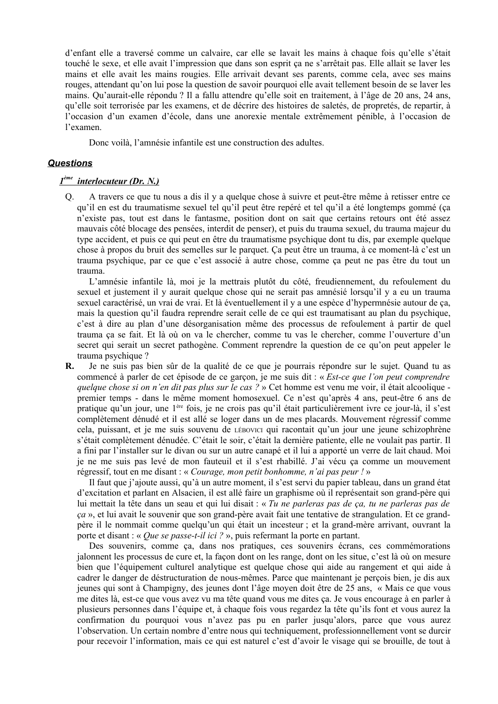d'enfant elle a traversé comme un calvaire, car elle se lavait les mains à chaque fois qu'elle s'était touché le sexe, et elle avait l'impression que dans son esprit ca ne s'arrêtait pas. Elle allait se laver les mains et elle avait les mains rougies. Elle arrivait devant ses parents, comme cela, avec ses mains rouges, attendant qu'on lui pose la question de savoir pourquoi elle avait tellement besoin de se laver les mains. Qu'aurait-elle répondu ? Il a fallu attendre qu'elle soit en traitement, à l'âge de 20 ans, 24 ans, qu'elle soit terrorisée par les examens, et de décrire des histoires de saletés, de propretés, de repartir, à l'occasion d'un examen d'école, dans une anorexie mentale extrêmement pénible, à l'occasion de l'examen

Donc voilà. l'amnésie infantile est une construction des adultes.

#### **Questions**

#### $I^{\text{ème}}$  interlocuteur (Dr. N.)

 $O<sub>r</sub>$ A travers ce que tu nous a dis il y a quelque chose à suivre et peut-être même à retisser entre ce qu'il en est du traumatisme sexuel tel qu'il peut être repéré et tel qu'il a été longtemps gommé (ça n'existe pas, tout est dans le fantasme, position dont on sait que certains retours ont été assez mauvais côté blocage des pensées, interdit de penser), et puis du trauma sexuel, du trauma majeur du type accident, et puis ce qui peut en être du traumatisme psychique dont tu dis, par exemple quelque chose à propos du bruit des semelles sur le parquet. Ça peut être un trauma, à ce moment-là c'est un trauma psychique, par ce que c'est associé à autre chose, comme ça peut ne pas être du tout un trauma.

L'amnésie infantile là, moi je la mettrais plutôt du côté, freudiennement, du refoulement du sexuel et justement il y aurait quelque chose qui ne serait pas amnésié lorsqu'il y a eu un trauma sexuel caractérisé, un vrai de vrai. Et là éventuellement il y a une espèce d'hypermnésie autour de ca, mais la question qu'il faudra reprendre serait celle de ce qui est traumatisant au plan du psychique, c'est à dire au plan d'une désorganisation même des processus de refoulement à partir de quel trauma ca se fait. Et là où on va le chercher, comme tu vas le chercher, comme l'ouverture d'un secret qui serait un secret pathogène. Comment reprendre la question de ce qu'on peut appeler le trauma psychique?

 $\mathbf{R}$ . Je ne suis pas bien sûr de la qualité de ce que je pourrais répondre sur le sujet. Quand tu as commencé à parler de cet épisode de ce garçon, je me suis dit : « *Est-ce que l'on peut comprendre* quelque chose si on n'en dit pas plus sur le cas ? » Cet homme est venu me voir, il était alcoolique premier temps - dans le même moment homosexuel. Ce n'est qu'après 4 ans, peut-être 6 ans de pratique qu'un jour, une 1<sup>ère</sup> fois, je ne crois pas qu'il était particulièrement ivre ce jour-là, il s'est complètement dénudé et il est allé se loger dans un de mes placards. Mouvement régressif comme cela, puissant, et je me suis souvenu de LÉBOVICI qui racontait qu'un jour une jeune schizophrène s'était complètement dénudée. C'était le soir, c'était la dernière patiente, elle ne voulait pas partir. Il a fini par l'installer sur le divan ou sur un autre canapé et il lui a apporté un verre de lait chaud. Moi je ne me suis pas levé de mon fauteuil et il s'est rhabillé. J'ai vécu ça comme un mouvement régressif, tout en me disant : « Courage, mon petit bonhomme, n'ai pas peur ! »

Il faut que j'ajoute aussi, qu'à un autre moment, il s'est servi du papier tableau, dans un grand état d'excitation et parlant en Alsacien, il est allé faire un graphisme où il représentait son grand-père qui lui mettait la tête dans un seau et qui lui disait : « Tu ne parleras pas de ça, tu ne parleras pas de ça », et lui avait le souvenir que son grand-père avait fait une tentative de strangulation. Et ce grandpère il le nommait comme quelqu'un qui était un incesteur ; et la grand-mère arrivant, ouvrant la porte et disant : « *Oue se passe-t-il ici* ? », puis refermant la porte en partant.

Des souvenirs, comme ca, dans nos pratiques, ces souvenirs écrans, ces commémorations jalonnent les processus de cure et, la façon dont on les range, dont on les situe, c'est là où on mesure bien que l'équipement culturel analytique est quelque chose qui aide au rangement et qui aide à cadrer le danger de déstructuration de nous-mêmes. Parce que maintenant je perçois bien, je dis aux jeunes qui sont à Champigny, des jeunes dont l'âge moyen doit être de 25 ans, « Mais ce que vous me dites là, est-ce que vous avez vu ma tête quand vous me dites ça. Je vous encourage à en parler à plusieurs personnes dans l'équipe et, à chaque fois vous regardez la tête qu'ils font et vous aurez la confirmation du pourquoi vous n'avez pas pu en parler jusqu'alors, parce que vous aurez l'observation. Un certain nombre d'entre nous qui techniquement, professionnellement vont se durcir pour recevoir l'information, mais ce qui est naturel c'est d'avoir le visage qui se brouille, de tout à